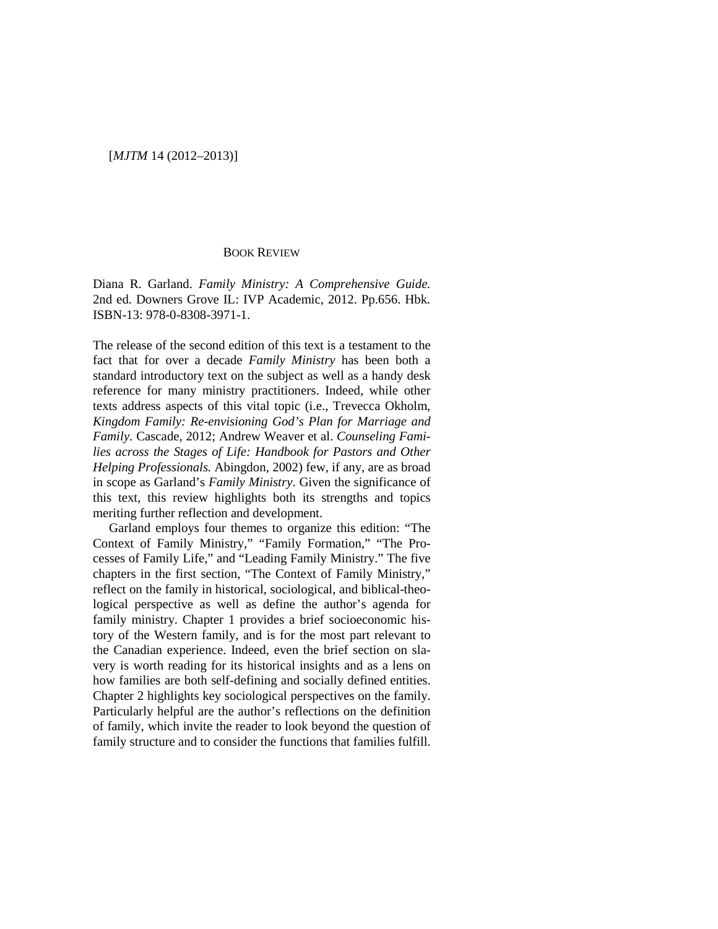## BOOK REVIEW

Diana R. Garland. *Family Ministry: A Comprehensive Guide.* 2nd ed. Downers Grove IL: IVP Academic, 2012. Pp.656. Hbk. ISBN-13: 978-0-8308-3971-1.

The release of the second edition of this text is a testament to the fact that for over a decade *Family Ministry* has been both a standard introductory text on the subject as well as a handy desk reference for many ministry practitioners. Indeed, while other texts address aspects of this vital topic (i.e., Trevecca Okholm, *Kingdom Family: Re-envisioning God's Plan for Marriage and Family.* Cascade, 2012; Andrew Weaver et al. *Counseling Families across the Stages of Life: Handbook for Pastors and Other Helping Professionals.* Abingdon, 2002) few, if any, are as broad in scope as Garland's *Family Ministry*. Given the significance of this text, this review highlights both its strengths and topics meriting further reflection and development.

Garland employs four themes to organize this edition: "The Context of Family Ministry," "Family Formation," "The Processes of Family Life," and "Leading Family Ministry." The five chapters in the first section, "The Context of Family Ministry," reflect on the family in historical, sociological, and biblical-theological perspective as well as define the author's agenda for family ministry. Chapter 1 provides a brief socioeconomic history of the Western family, and is for the most part relevant to the Canadian experience. Indeed, even the brief section on slavery is worth reading for its historical insights and as a lens on how families are both self-defining and socially defined entities. Chapter 2 highlights key sociological perspectives on the family. Particularly helpful are the author's reflections on the definition of family, which invite the reader to look beyond the question of family structure and to consider the functions that families fulfill.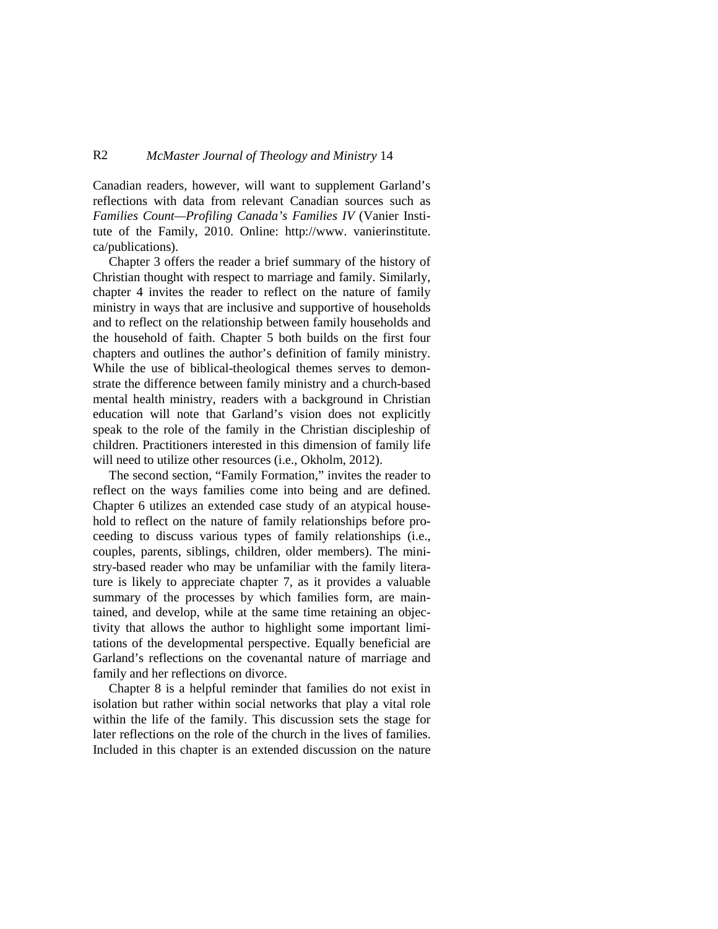## R2 *McMaster Journal of Theology and Ministry* 14

Canadian readers, however, will want to supplement Garland's reflections with data from relevant Canadian sources such as *Families Count—Profiling Canada's Families IV* (Vanier Institute of the Family, 2010. Online: http://www. vanierinstitute. ca/publications).

Chapter 3 offers the reader a brief summary of the history of Christian thought with respect to marriage and family. Similarly, chapter 4 invites the reader to reflect on the nature of family ministry in ways that are inclusive and supportive of households and to reflect on the relationship between family households and the household of faith. Chapter 5 both builds on the first four chapters and outlines the author's definition of family ministry. While the use of biblical-theological themes serves to demonstrate the difference between family ministry and a church-based mental health ministry, readers with a background in Christian education will note that Garland's vision does not explicitly speak to the role of the family in the Christian discipleship of children. Practitioners interested in this dimension of family life will need to utilize other resources (i.e., Okholm, 2012).

The second section, "Family Formation," invites the reader to reflect on the ways families come into being and are defined. Chapter 6 utilizes an extended case study of an atypical household to reflect on the nature of family relationships before proceeding to discuss various types of family relationships (i.e., couples, parents, siblings, children, older members). The ministry-based reader who may be unfamiliar with the family literature is likely to appreciate chapter 7, as it provides a valuable summary of the processes by which families form, are maintained, and develop, while at the same time retaining an objectivity that allows the author to highlight some important limitations of the developmental perspective. Equally beneficial are Garland's reflections on the covenantal nature of marriage and family and her reflections on divorce.

Chapter 8 is a helpful reminder that families do not exist in isolation but rather within social networks that play a vital role within the life of the family. This discussion sets the stage for later reflections on the role of the church in the lives of families. Included in this chapter is an extended discussion on the nature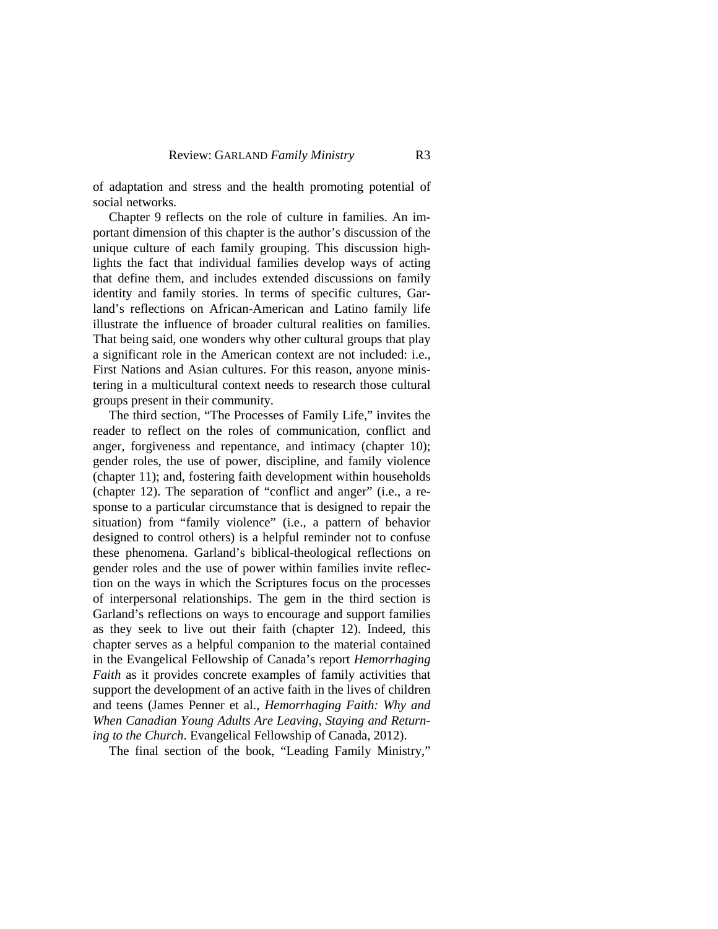of adaptation and stress and the health promoting potential of social networks.

Chapter 9 reflects on the role of culture in families. An important dimension of this chapter is the author's discussion of the unique culture of each family grouping. This discussion highlights the fact that individual families develop ways of acting that define them, and includes extended discussions on family identity and family stories. In terms of specific cultures, Garland's reflections on African-American and Latino family life illustrate the influence of broader cultural realities on families. That being said, one wonders why other cultural groups that play a significant role in the American context are not included: i.e., First Nations and Asian cultures. For this reason, anyone ministering in a multicultural context needs to research those cultural groups present in their community.

The third section, "The Processes of Family Life," invites the reader to reflect on the roles of communication, conflict and anger, forgiveness and repentance, and intimacy (chapter 10); gender roles, the use of power, discipline, and family violence (chapter 11); and, fostering faith development within households (chapter 12). The separation of "conflict and anger" (i.e., a response to a particular circumstance that is designed to repair the situation) from "family violence" (i.e., a pattern of behavior designed to control others) is a helpful reminder not to confuse these phenomena. Garland's biblical-theological reflections on gender roles and the use of power within families invite reflection on the ways in which the Scriptures focus on the processes of interpersonal relationships. The gem in the third section is Garland's reflections on ways to encourage and support families as they seek to live out their faith (chapter 12). Indeed, this chapter serves as a helpful companion to the material contained in the Evangelical Fellowship of Canada's report *Hemorrhaging Faith* as it provides concrete examples of family activities that support the development of an active faith in the lives of children and teens (James Penner et al., *Hemorrhaging Faith: Why and When Canadian Young Adults Are Leaving, Staying and Returning to the Church*. Evangelical Fellowship of Canada, 2012).

The final section of the book, "Leading Family Ministry,"